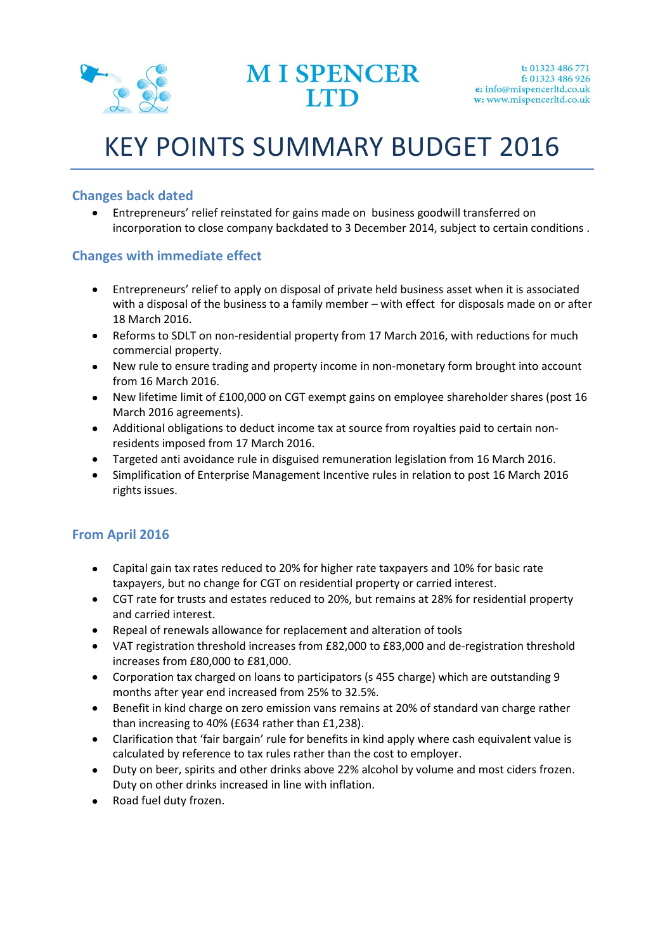

# KEY POINTS SUMMARY BUDGET 2016

### **Changes back dated**

Entrepreneurs' relief reinstated for gains made on business goodwill transferred on incorporation to close company backdated to 3 December 2014, subject to certain conditions .

#### **Changes with immediate effect**

- Entrepreneurs' relief to apply on disposal of private held business asset when it is associated  $\bullet$ with a disposal of the business to a family member – with effect for disposals made on or after 18 March 2016.
- Reforms to SDLT on non-residential property from 17 March 2016, with reductions for much commercial property.
- New rule to ensure trading and property income in non-monetary form brought into account from 16 March 2016.
- New lifetime limit of £100,000 on CGT exempt gains on employee shareholder shares (post 16 March 2016 agreements).
- Additional obligations to deduct income tax at source from royalties paid to certain nonresidents imposed from 17 March 2016.
- Targeted anti avoidance rule in disguised remuneration legislation from 16 March 2016.
- Simplification of Enterprise Management Incentive rules in relation to post 16 March 2016 rights issues.

## **From April 2016**

- Capital gain tax rates reduced to 20% for higher rate taxpayers and 10% for basic rate  $\bullet$ taxpayers, but no change for CGT on residential property or carried interest.
- CGT rate for trusts and estates reduced to 20%, but remains at 28% for residential property and carried interest.
- Repeal of renewals allowance for replacement and alteration of tools
- VAT registration threshold increases from £82,000 to £83,000 and de-registration threshold increases from £80,000 to £81,000.
- Corporation tax charged on loans to participators (s 455 charge) which are outstanding 9 months after year end increased from 25% to 32.5%.
- Benefit in kind charge on zero emission vans remains at 20% of standard van charge rather  $\bullet$ than increasing to 40% (£634 rather than £1,238).
- Clarification that 'fair bargain' rule for benefits in kind apply where cash equivalent value is calculated by reference to tax rules rather than the cost to employer.
- Duty on beer, spirits and other drinks above 22% alcohol by volume and most ciders frozen. Duty on other drinks increased in line with inflation.
- Road fuel duty frozen. $\bullet$